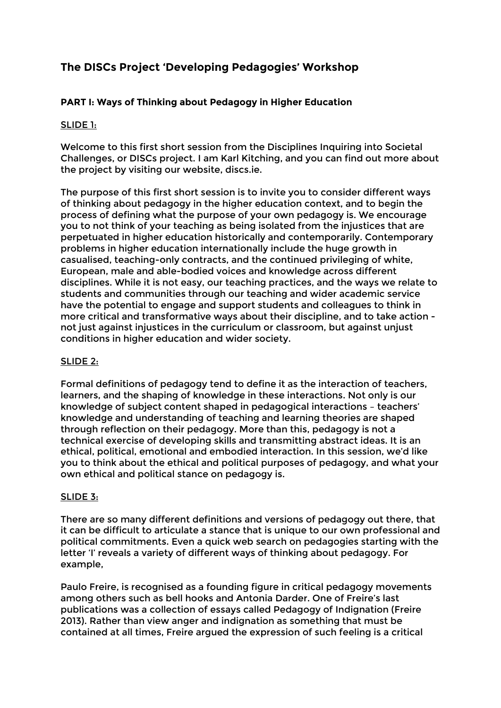# **The DISCs Project 'Developing Pedagogies' Workshop**

## **PART I: Ways of Thinking about Pedagogy in Higher Education**

## SLIDE 1:

Welcome to this first short session from the Disciplines Inquiring into Societal Challenges, or DISCs project. I am Karl Kitching, and you can find out more about the project by visiting our website, discs.ie.

The purpose of this first short session is to invite you to consider different ways of thinking about pedagogy in the higher education context, and to begin the process of defining what the purpose of your own pedagogy is. We encourage you to not think of your teaching as being isolated from the injustices that are perpetuated in higher education historically and contemporarily. Contemporary problems in higher education internationally include the huge growth in casualised, teaching-only contracts, and the continued privileging of white, European, male and able-bodied voices and knowledge across different disciplines. While it is not easy, our teaching practices, and the ways we relate to students and communities through our teaching and wider academic service have the potential to engage and support students and colleagues to think in more critical and transformative ways about their discipline, and to take action not just against injustices in the curriculum or classroom, but against unjust conditions in higher education and wider society.

## SLIDE 2:

Formal definitions of pedagogy tend to define it as the interaction of teachers, learners, and the shaping of knowledge in these interactions. Not only is our knowledge of subject content shaped in pedagogical interactions – teachers' knowledge and understanding of teaching and learning theories are shaped through reflection on their pedagogy. More than this, pedagogy is not a technical exercise of developing skills and transmitting abstract ideas. It is an ethical, political, emotional and embodied interaction. In this session, we'd like you to think about the ethical and political purposes of pedagogy, and what your own ethical and political stance on pedagogy is.

#### SLIDE 3:

There are so many different definitions and versions of pedagogy out there, that it can be difficult to articulate a stance that is unique to our own professional and political commitments. Even a quick web search on pedagogies starting with the letter 'I' reveals a variety of different ways of thinking about pedagogy. For example,

Paulo Freire, is recognised as a founding figure in critical pedagogy movements among others such as bell hooks and Antonia Darder. One of Freire's last publications was a collection of essays called Pedagogy of Indignation (Freire 2013). Rather than view anger and indignation as something that must be contained at all times, Freire argued the expression of such feeling is a critical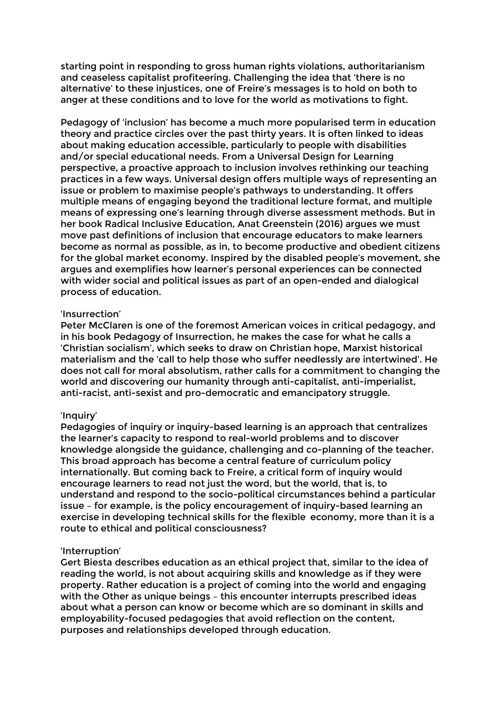starting point in responding to gross human rights violations, authoritarianism and ceaseless capitalist profiteering. Challenging the idea that 'there is no alternative' to these injustices, one of Freire's messages is to hold on both to anger at these conditions and to love for the world as motivations to fight.

Pedagogy of 'inclusion' has become a much more popularised term in education theory and practice circles over the past thirty years. It is often linked to ideas about making education accessible, particularly to people with disabilities and/or special educational needs. From a Universal Design for Learning perspective, a proactive approach to inclusion involves rethinking our teaching practices in a few ways. Universal design offers multiple ways of representing an issue or problem to maximise people's pathways to understanding. It offers multiple means of engaging beyond the traditional lecture format, and multiple means of expressing one's learning through diverse assessment methods. But in her book Radical Inclusive Education, Anat Greenstein (2016) argues we must move past definitions of inclusion that encourage educators to make learners become as normal as possible, as in, to become productive and obedient citizens for the global market economy. Inspired by the disabled people's movement, she argues and exemplifies how learner's personal experiences can be connected with wider social and political issues as part of an open-ended and dialogical process of education.

#### 'Insurrection'

Peter McClaren is one of the foremost American voices in critical pedagogy, and in his book Pedagogy of Insurrection, he makes the case for what he calls a 'Christian socialism', which seeks to draw on Christian hope, Marxist historical materialism and the 'call to help those who suffer needlessly are intertwined'. He does not call for moral absolutism, rather calls for a commitment to changing the world and discovering our humanity through anti-capitalist, anti-imperialist, anti-racist, anti-sexist and pro-democratic and emancipatory struggle.

#### 'Inquiry'

Pedagogies of inquiry or inquiry-based learning is an approach that centralizes the learner's capacity to respond to real-world problems and to discover knowledge alongside the guidance, challenging and co-planning of the teacher. This broad approach has become a central feature of curriculum policy internationally. But coming back to Freire, a critical form of inquiry would encourage learners to read not just the word, but the world, that is, to understand and respond to the socio-political circumstances behind a particular issue – for example, is the policy encouragement of inquiry-based learning an exercise in developing technical skills for the flexible economy, more than it is a route to ethical and political consciousness?

#### 'Interruption'

Gert Biesta describes education as an ethical project that, similar to the idea of reading the world, is not about acquiring skills and knowledge as if they were property. Rather education is a project of coming into the world and engaging with the Other as unique beings – this encounter interrupts prescribed ideas about what a person can know or become which are so dominant in skills and employability-focused pedagogies that avoid reflection on the content, purposes and relationships developed through education.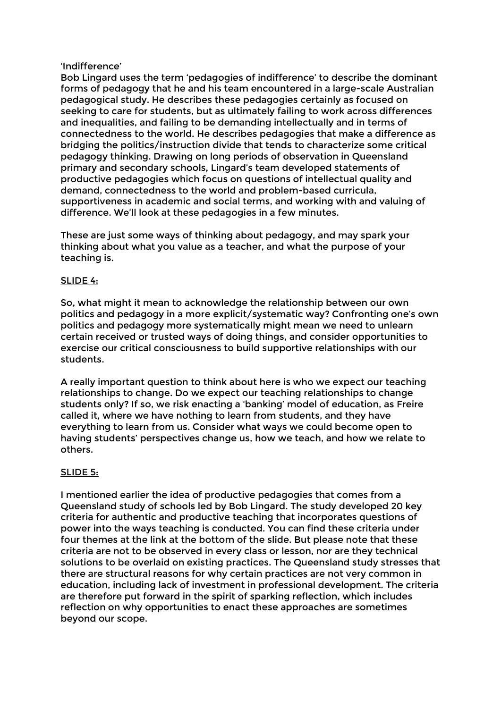#### 'Indifference'

Bob Lingard uses the term 'pedagogies of indifference' to describe the dominant forms of pedagogy that he and his team encountered in a large-scale Australian pedagogical study. He describes these pedagogies certainly as focused on seeking to care for students, but as ultimately failing to work across differences and inequalities, and failing to be demanding intellectually and in terms of connectedness to the world. He describes pedagogies that make a difference as bridging the politics/instruction divide that tends to characterize some critical pedagogy thinking. Drawing on long periods of observation in Queensland primary and secondary schools, Lingard's team developed statements of productive pedagogies which focus on questions of intellectual quality and demand, connectedness to the world and problem-based curricula, supportiveness in academic and social terms, and working with and valuing of difference. We'll look at these pedagogies in a few minutes.

These are just some ways of thinking about pedagogy, and may spark your thinking about what you value as a teacher, and what the purpose of your teaching is.

## SLIDE 4:

So, what might it mean to acknowledge the relationship between our own politics and pedagogy in a more explicit/systematic way? Confronting one's own politics and pedagogy more systematically might mean we need to unlearn certain received or trusted ways of doing things, and consider opportunities to exercise our critical consciousness to build supportive relationships with our students.

A really important question to think about here is who we expect our teaching relationships to change. Do we expect our teaching relationships to change students only? If so, we risk enacting a 'banking' model of education, as Freire called it, where we have nothing to learn from students, and they have everything to learn from us. Consider what ways we could become open to having students' perspectives change us, how we teach, and how we relate to others.

## SLIDE 5:

I mentioned earlier the idea of productive pedagogies that comes from a Queensland study of schools led by Bob Lingard. The study developed 20 key criteria for authentic and productive teaching that incorporates questions of power into the ways teaching is conducted. You can find these criteria under four themes at the link at the bottom of the slide. But please note that these criteria are not to be observed in every class or lesson, nor are they technical solutions to be overlaid on existing practices. The Queensland study stresses that there are structural reasons for why certain practices are not very common in education, including lack of investment in professional development. The criteria are therefore put forward in the spirit of sparking reflection, which includes reflection on why opportunities to enact these approaches are sometimes beyond our scope.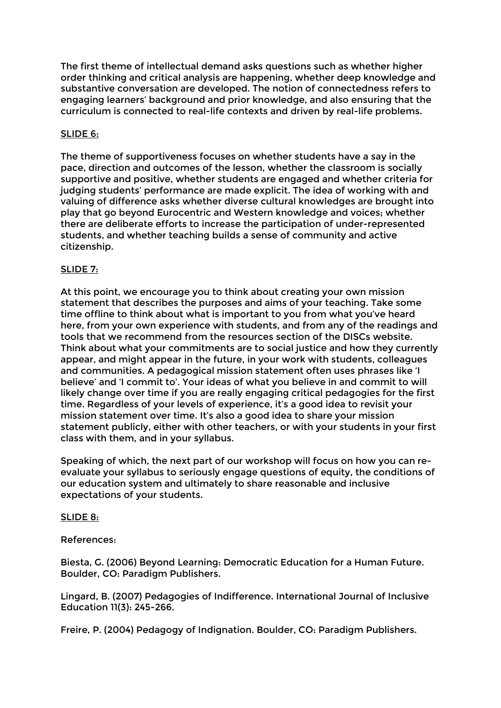The first theme of intellectual demand asks questions such as whether higher order thinking and critical analysis are happening, whether deep knowledge and substantive conversation are developed. The notion of connectedness refers to engaging learners' background and prior knowledge, and also ensuring that the curriculum is connected to real-life contexts and driven by real-life problems.

### SLIDE 6:

The theme of supportiveness focuses on whether students have a say in the pace, direction and outcomes of the lesson, whether the classroom is socially supportive and positive, whether students are engaged and whether criteria for judging students' performance are made explicit. The idea of working with and valuing of difference asks whether diverse cultural knowledges are brought into play that go beyond Eurocentric and Western knowledge and voices; whether there are deliberate efforts to increase the participation of under-represented students, and whether teaching builds a sense of community and active citizenship.

### SLIDE 7:

At this point, we encourage you to think about creating your own mission statement that describes the purposes and aims of your teaching. Take some time offline to think about what is important to you from what you've heard here, from your own experience with students, and from any of the readings and tools that we recommend from the resources section of the DISCs website. Think about what your commitments are to social justice and how they currently appear, and might appear in the future, in your work with students, colleagues and communities. A pedagogical mission statement often uses phrases like 'I believe' and 'I commit to'. Your ideas of what you believe in and commit to will likely change over time if you are really engaging critical pedagogies for the first time. Regardless of your levels of experience, it's a good idea to revisit your mission statement over time. It's also a good idea to share your mission statement publicly, either with other teachers, or with your students in your first class with them, and in your syllabus.

Speaking of which, the next part of our workshop will focus on how you can reevaluate your syllabus to seriously engage questions of equity, the conditions of our education system and ultimately to share reasonable and inclusive expectations of your students.

#### SLIDE 8:

#### References:

Biesta, G. (2006) Beyond Learning: Democratic Education for a Human Future. Boulder, CO: Paradigm Publishers.

Lingard, B. (2007) Pedagogies of Indifference. International Journal of Inclusive Education 11(3): 245-266.

Freire, P. (2004) Pedagogy of Indignation. Boulder, CO: Paradigm Publishers.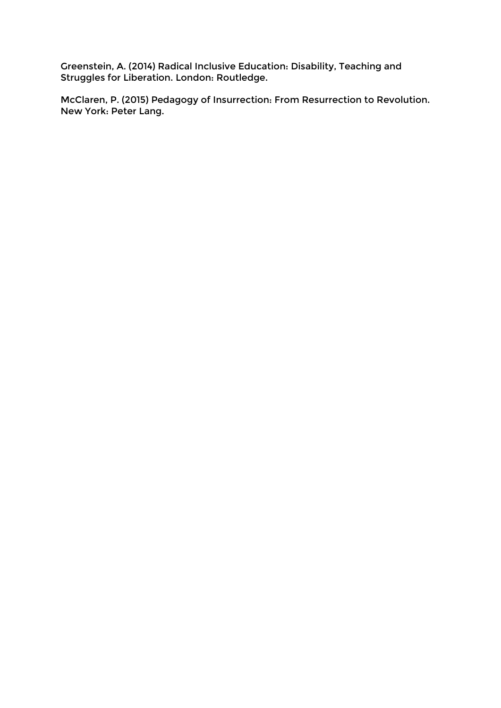Greenstein, A. (2014) Radical Inclusive Education: Disability, Teaching and Struggles for Liberation. London: Routledge.

McClaren, P. (2015) Pedagogy of Insurrection: From Resurrection to Revolution. New York: Peter Lang.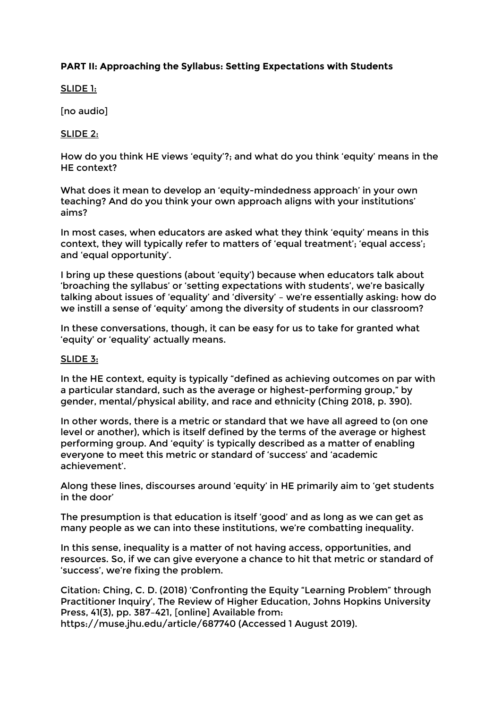## **PART II: Approaching the Syllabus: Setting Expectations with Students**

SLIDE 1:

[no audio]

SLIDE 2:

How do you think HE views 'equity'?; and what do you think 'equity' means in the HE context?

What does it mean to develop an 'equity-mindedness approach' in your own teaching? And do you think your own approach aligns with your institutions' aims?

In most cases, when educators are asked what they think 'equity' means in this context, they will typically refer to matters of 'equal treatment'; 'equal access'; and 'equal opportunity'.

I bring up these questions (about 'equity') because when educators talk about 'broaching the syllabus' or 'setting expectations with students', we're basically talking about issues of 'equality' and 'diversity' – we're essentially asking: how do we instill a sense of 'equity' among the diversity of students in our classroom?

In these conversations, though, it can be easy for us to take for granted what 'equity' or 'equality' actually means.

#### SLIDE 3:

In the HE context, equity is typically "defined as achieving outcomes on par with a particular standard, such as the average or highest-performing group," by gender, mental/physical ability, and race and ethnicity (Ching 2018, p. 390).

In other words, there is a metric or standard that we have all agreed to (on one level or another), which is itself defined by the terms of the average or highest performing group. And 'equity' is typically described as a matter of enabling everyone to meet this metric or standard of 'success' and 'academic achievement'.

Along these lines, discourses around 'equity' in HE primarily aim to 'get students in the door'

The presumption is that education is itself 'good' and as long as we can get as many people as we can into these institutions, we're combatting inequality.

In this sense, inequality is a matter of not having access, opportunities, and resources. So, if we can give everyone a chance to hit that metric or standard of 'success', we're fixing the problem.

Citation: Ching, C. D. (2018) 'Confronting the Equity "Learning Problem" through Practitioner Inquiry', The Review of Higher Education, Johns Hopkins University Press, 41(3), pp. 387–421, [online] Available from:

https://muse.jhu.edu/article/687740 (Accessed 1 August 2019).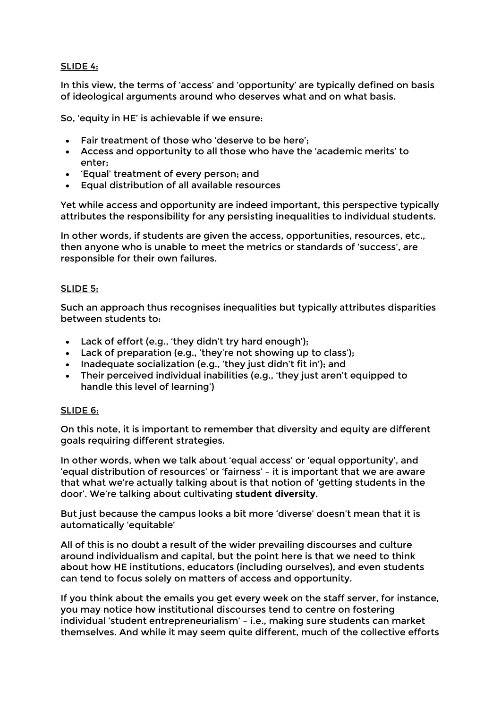#### SLIDE 4:

In this view, the terms of 'access' and 'opportunity' are typically defined on basis of ideological arguments around who deserves what and on what basis.

So, 'equity in HE' is achievable if we ensure:

- Fair treatment of those who 'deserve to be here';
- Access and opportunity to all those who have the 'academic merits' to enter;
- 'Equal' treatment of every person; and
- Equal distribution of all available resources

Yet while access and opportunity are indeed important, this perspective typically attributes the responsibility for any persisting inequalities to individual students.

In other words, if students are given the access, opportunities, resources, etc., then anyone who is unable to meet the metrics or standards of 'success', are responsible for their own failures.

#### SLIDE 5:

Such an approach thus recognises inequalities but typically attributes disparities between students to:

- Lack of effort (e.g., 'they didn't try hard enough');
- Lack of preparation (e.g., 'they're not showing up to class');
- Inadequate socialization (e.g., 'they just didn't fit in'); and
- Their perceived individual inabilities (e.g., 'they just aren't equipped to handle this level of learning')

#### SLIDE 6:

On this note, it is important to remember that diversity and equity are different goals requiring different strategies.

In other words, when we talk about 'equal access' or 'equal opportunity', and 'equal distribution of resources' or 'fairness' – it is important that we are aware that what we're actually talking about is that notion of 'getting students in the door'. We're talking about cultivating **student diversity**.

But just because the campus looks a bit more 'diverse' doesn't mean that it is automatically 'equitable'

All of this is no doubt a result of the wider prevailing discourses and culture around individualism and capital, but the point here is that we need to think about how HE institutions, educators (including ourselves), and even students can tend to focus solely on matters of access and opportunity.

If you think about the emails you get every week on the staff server, for instance, you may notice how institutional discourses tend to centre on fostering individual 'student entrepreneurialism' – i.e., making sure students can market themselves. And while it may seem quite different, much of the collective efforts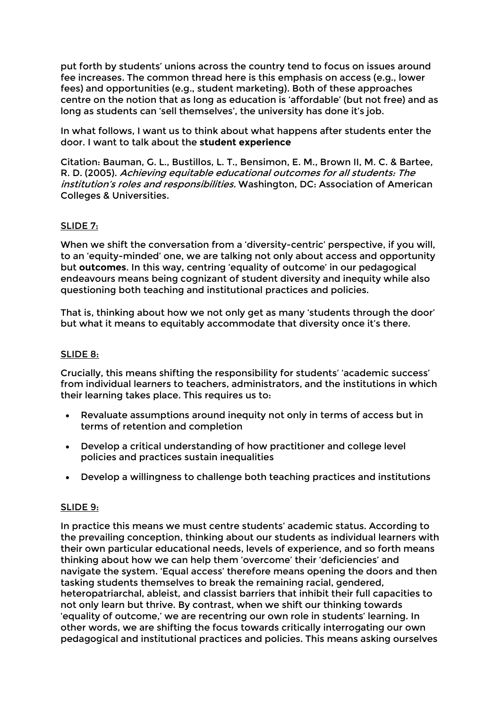put forth by students' unions across the country tend to focus on issues around fee increases. The common thread here is this emphasis on access (e.g., lower fees) and opportunities (e.g., student marketing). Both of these approaches centre on the notion that as long as education is 'affordable' (but not free) and as long as students can 'sell themselves', the university has done it's job.

In what follows, I want us to think about what happens after students enter the door. I want to talk about the **student experience**

Citation: Bauman, G. L., Bustillos, L. T., Bensimon, E. M., Brown II, M. C. & Bartee, R. D. (2005). Achieving equitable educational outcomes for all students: The institution's roles and responsibilities. Washington, DC: Association of American Colleges & Universities.

## SLIDE 7:

When we shift the conversation from a 'diversity-centric' perspective, if you will, to an 'equity-minded' one, we are talking not only about access and opportunity but **outcomes**. In this way, centring 'equality of outcome' in our pedagogical endeavours means being cognizant of student diversity and inequity while also questioning both teaching and institutional practices and policies.

That is, thinking about how we not only get as many 'students through the door' but what it means to equitably accommodate that diversity once it's there.

#### SLIDE 8:

Crucially, this means shifting the responsibility for students' 'academic success' from individual learners to teachers, administrators, and the institutions in which their learning takes place. This requires us to:

- Revaluate assumptions around inequity not only in terms of access but in terms of retention and completion
- Develop a critical understanding of how practitioner and college level policies and practices sustain inequalities
- Develop a willingness to challenge both teaching practices and institutions

#### SLIDE 9:

In practice this means we must centre students' academic status. According to the prevailing conception, thinking about our students as individual learners with their own particular educational needs, levels of experience, and so forth means thinking about how we can help them 'overcome' their 'deficiencies' and navigate the system. 'Equal access' therefore means opening the doors and then tasking students themselves to break the remaining racial, gendered, heteropatriarchal, ableist, and classist barriers that inhibit their full capacities to not only learn but thrive. By contrast, when we shift our thinking towards 'equality of outcome,' we are recentring our own role in students' learning. In other words, we are shifting the focus towards critically interrogating our own pedagogical and institutional practices and policies. This means asking ourselves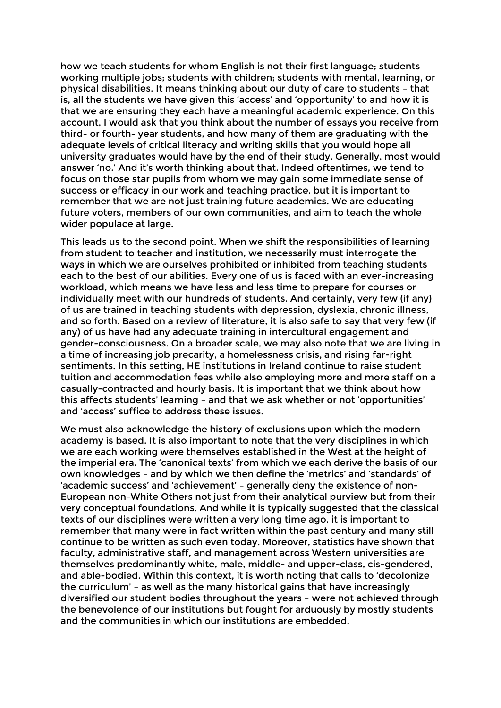how we teach students for whom English is not their first language; students working multiple jobs; students with children; students with mental, learning, or physical disabilities. It means thinking about our duty of care to students – that is, all the students we have given this 'access' and 'opportunity' to and how it is that we are ensuring they each have a meaningful academic experience. On this account, I would ask that you think about the number of essays you receive from third- or fourth- year students, and how many of them are graduating with the adequate levels of critical literacy and writing skills that you would hope all university graduates would have by the end of their study. Generally, most would answer 'no.' And it's worth thinking about that. Indeed oftentimes, we tend to focus on those star pupils from whom we may gain some immediate sense of success or efficacy in our work and teaching practice, but it is important to remember that we are not just training future academics. We are educating future voters, members of our own communities, and aim to teach the whole wider populace at large.

This leads us to the second point. When we shift the responsibilities of learning from student to teacher and institution, we necessarily must interrogate the ways in which we are ourselves prohibited or inhibited from teaching students each to the best of our abilities. Every one of us is faced with an ever-increasing workload, which means we have less and less time to prepare for courses or individually meet with our hundreds of students. And certainly, very few (if any) of us are trained in teaching students with depression, dyslexia, chronic illness, and so forth. Based on a review of literature, it is also safe to say that very few (if any) of us have had any adequate training in intercultural engagement and gender-consciousness. On a broader scale, we may also note that we are living in a time of increasing job precarity, a homelessness crisis, and rising far-right sentiments. In this setting, HE institutions in Ireland continue to raise student tuition and accommodation fees while also employing more and more staff on a casually-contracted and hourly basis. It is important that we think about how this affects students' learning – and that we ask whether or not 'opportunities' and 'access' suffice to address these issues.

We must also acknowledge the history of exclusions upon which the modern academy is based. It is also important to note that the very disciplines in which we are each working were themselves established in the West at the height of the imperial era. The 'canonical texts' from which we each derive the basis of our own knowledges – and by which we then define the 'metrics' and 'standards' of 'academic success' and 'achievement' – generally deny the existence of non-European non-White Others not just from their analytical purview but from their very conceptual foundations. And while it is typically suggested that the classical texts of our disciplines were written a very long time ago, it is important to remember that many were in fact written within the past century and many still continue to be written as such even today. Moreover, statistics have shown that faculty, administrative staff, and management across Western universities are themselves predominantly white, male, middle- and upper-class, cis-gendered, and able-bodied. Within this context, it is worth noting that calls to 'decolonize the curriculum' – as well as the many historical gains that have increasingly diversified our student bodies throughout the years – were not achieved through the benevolence of our institutions but fought for arduously by mostly students and the communities in which our institutions are embedded.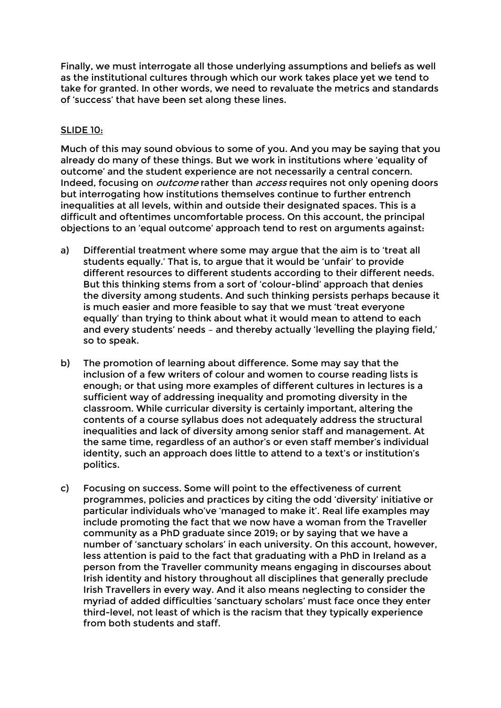Finally, we must interrogate all those underlying assumptions and beliefs as well as the institutional cultures through which our work takes place yet we tend to take for granted. In other words, we need to revaluate the metrics and standards of 'success' that have been set along these lines.

### SLIDE 10:

Much of this may sound obvious to some of you. And you may be saying that you already do many of these things. But we work in institutions where 'equality of outcome' and the student experience are not necessarily a central concern. Indeed, focusing on *outcome* rather than *access* requires not only opening doors but interrogating how institutions themselves continue to further entrench inequalities at all levels, within and outside their designated spaces. This is a difficult and oftentimes uncomfortable process. On this account, the principal objections to an 'equal outcome' approach tend to rest on arguments against:

- a) Differential treatment where some may argue that the aim is to 'treat all students equally.' That is, to argue that it would be 'unfair' to provide different resources to different students according to their different needs. But this thinking stems from a sort of 'colour-blind' approach that denies the diversity among students. And such thinking persists perhaps because it is much easier and more feasible to say that we must 'treat everyone equally' than trying to think about what it would mean to attend to each and every students' needs – and thereby actually 'levelling the playing field,' so to speak.
- b) The promotion of learning about difference. Some may say that the inclusion of a few writers of colour and women to course reading lists is enough; or that using more examples of different cultures in lectures is a sufficient way of addressing inequality and promoting diversity in the classroom. While curricular diversity is certainly important, altering the contents of a course syllabus does not adequately address the structural inequalities and lack of diversity among senior staff and management. At the same time, regardless of an author's or even staff member's individual identity, such an approach does little to attend to a text's or institution's politics.
- c) Focusing on success. Some will point to the effectiveness of current programmes, policies and practices by citing the odd 'diversity' initiative or particular individuals who've 'managed to make it'. Real life examples may include promoting the fact that we now have a woman from the Traveller community as a PhD graduate since 2019; or by saying that we have a number of 'sanctuary scholars' in each university. On this account, however, less attention is paid to the fact that graduating with a PhD in Ireland as a person from the Traveller community means engaging in discourses about Irish identity and history throughout all disciplines that generally preclude Irish Travellers in every way. And it also means neglecting to consider the myriad of added difficulties 'sanctuary scholars' must face once they enter third-level, not least of which is the racism that they typically experience from both students and staff.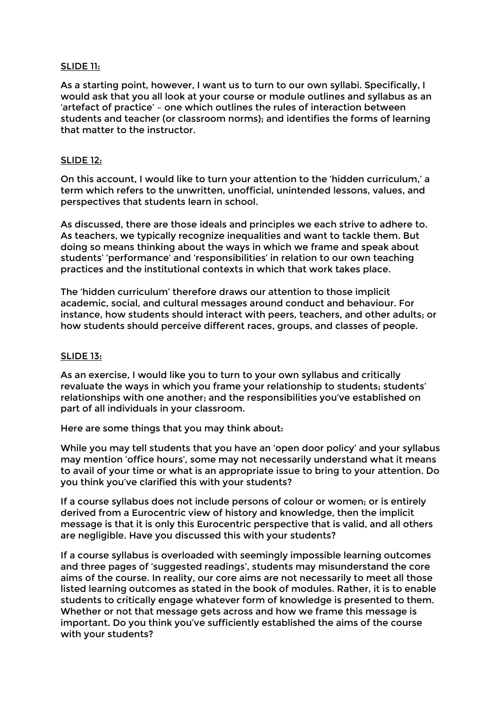#### SLIDE 11:

As a starting point, however, I want us to turn to our own syllabi. Specifically, I would ask that you all look at your course or module outlines and syllabus as an 'artefact of practice' – one which outlines the rules of interaction between students and teacher (or classroom norms); and identifies the forms of learning that matter to the instructor.

#### SLIDE 12:

On this account, I would like to turn your attention to the 'hidden curriculum,' a term which refers to the unwritten, unofficial, unintended lessons, values, and perspectives that students learn in school.

As discussed, there are those ideals and principles we each strive to adhere to. As teachers, we typically recognize inequalities and want to tackle them. But doing so means thinking about the ways in which we frame and speak about students' 'performance' and 'responsibilities' in relation to our own teaching practices and the institutional contexts in which that work takes place.

The 'hidden curriculum' therefore draws our attention to those implicit academic, social, and cultural messages around conduct and behaviour. For instance, how students should interact with peers, teachers, and other adults; or how students should perceive different races, groups, and classes of people.

#### SLIDE 13:

As an exercise, I would like you to turn to your own syllabus and critically revaluate the ways in which you frame your relationship to students; students' relationships with one another; and the responsibilities you've established on part of all individuals in your classroom.

Here are some things that you may think about:

While you may tell students that you have an 'open door policy' and your syllabus may mention 'office hours', some may not necessarily understand what it means to avail of your time or what is an appropriate issue to bring to your attention. Do you think you've clarified this with your students?

If a course syllabus does not include persons of colour or women; or is entirely derived from a Eurocentric view of history and knowledge, then the implicit message is that it is only this Eurocentric perspective that is valid, and all others are negligible. Have you discussed this with your students?

If a course syllabus is overloaded with seemingly impossible learning outcomes and three pages of 'suggested readings', students may misunderstand the core aims of the course. In reality, our core aims are not necessarily to meet all those listed learning outcomes as stated in the book of modules. Rather, it is to enable students to critically engage whatever form of knowledge is presented to them. Whether or not that message gets across and how we frame this message is important. Do you think you've sufficiently established the aims of the course with your students?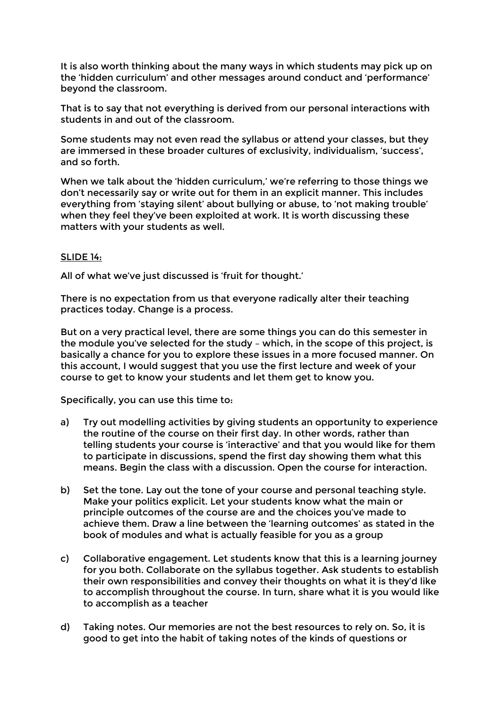It is also worth thinking about the many ways in which students may pick up on the 'hidden curriculum' and other messages around conduct and 'performance' beyond the classroom.

That is to say that not everything is derived from our personal interactions with students in and out of the classroom.

Some students may not even read the syllabus or attend your classes, but they are immersed in these broader cultures of exclusivity, individualism, 'success', and so forth.

When we talk about the 'hidden curriculum,' we're referring to those things we don't necessarily say or write out for them in an explicit manner. This includes everything from 'staying silent' about bullying or abuse, to 'not making trouble' when they feel they've been exploited at work. It is worth discussing these matters with your students as well.

#### SLIDE 14:

All of what we've just discussed is 'fruit for thought.'

There is no expectation from us that everyone radically alter their teaching practices today. Change is a process.

But on a very practical level, there are some things you can do this semester in the module you've selected for the study – which, in the scope of this project, is basically a chance for you to explore these issues in a more focused manner. On this account, I would suggest that you use the first lecture and week of your course to get to know your students and let them get to know you.

Specifically, you can use this time to:

- a) Try out modelling activities by giving students an opportunity to experience the routine of the course on their first day. In other words, rather than telling students your course is 'interactive' and that you would like for them to participate in discussions, spend the first day showing them what this means. Begin the class with a discussion. Open the course for interaction.
- b) Set the tone. Lay out the tone of your course and personal teaching style. Make your politics explicit. Let your students know what the main or principle outcomes of the course are and the choices you've made to achieve them. Draw a line between the 'learning outcomes' as stated in the book of modules and what is actually feasible for you as a group
- c) Collaborative engagement. Let students know that this is a learning journey for you both. Collaborate on the syllabus together. Ask students to establish their own responsibilities and convey their thoughts on what it is they'd like to accomplish throughout the course. In turn, share what it is you would like to accomplish as a teacher
- d) Taking notes. Our memories are not the best resources to rely on. So, it is good to get into the habit of taking notes of the kinds of questions or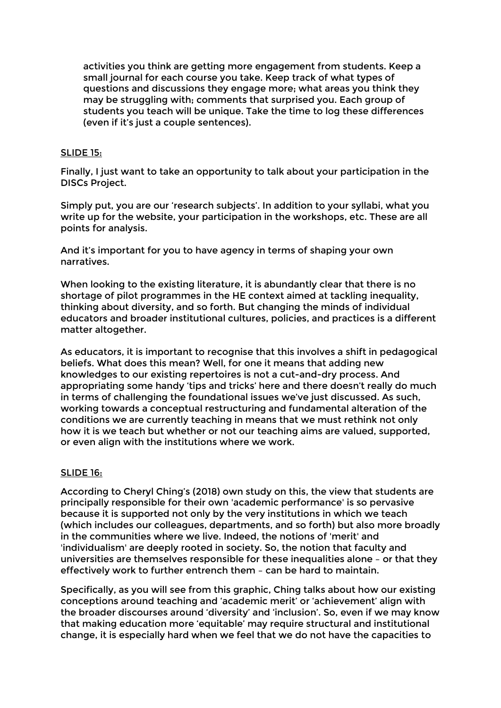activities you think are getting more engagement from students. Keep a small journal for each course you take. Keep track of what types of questions and discussions they engage more; what areas you think they may be struggling with; comments that surprised you. Each group of students you teach will be unique. Take the time to log these differences (even if it's just a couple sentences).

### SLIDE 15:

Finally, I just want to take an opportunity to talk about your participation in the DISCs Project.

Simply put, you are our 'research subjects'. In addition to your syllabi, what you write up for the website, your participation in the workshops, etc. These are all points for analysis.

And it's important for you to have agency in terms of shaping your own narratives.

When looking to the existing literature, it is abundantly clear that there is no shortage of pilot programmes in the HE context aimed at tackling inequality, thinking about diversity, and so forth. But changing the minds of individual educators and broader institutional cultures, policies, and practices is a different matter altogether.

As educators, it is important to recognise that this involves a shift in pedagogical beliefs. What does this mean? Well, for one it means that adding new knowledges to our existing repertoires is not a cut-and-dry process. And appropriating some handy 'tips and tricks' here and there doesn't really do much in terms of challenging the foundational issues we've just discussed. As such, working towards a conceptual restructuring and fundamental alteration of the conditions we are currently teaching in means that we must rethink not only how it is we teach but whether or not our teaching aims are valued, supported, or even align with the institutions where we work.

#### SLIDE 16:

According to Cheryl Ching's (2018) own study on this, the view that students are principally responsible for their own 'academic performance' is so pervasive because it is supported not only by the very institutions in which we teach (which includes our colleagues, departments, and so forth) but also more broadly in the communities where we live. Indeed, the notions of 'merit' and 'individualism' are deeply rooted in society. So, the notion that faculty and universities are themselves responsible for these inequalities alone – or that they effectively work to further entrench them – can be hard to maintain.

Specifically, as you will see from this graphic, Ching talks about how our existing conceptions around teaching and 'academic merit' or 'achievement' align with the broader discourses around 'diversity' and 'inclusion'. So, even if we may know that making education more 'equitable' may require structural and institutional change, it is especially hard when we feel that we do not have the capacities to